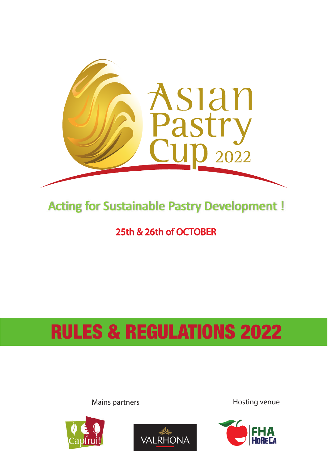

# **Acting for Sustainable Pastry Development!**

25th & 26th of OCTOBER

# RULES & REGULATIONS 2022

Mains partners **Hosting venue** 





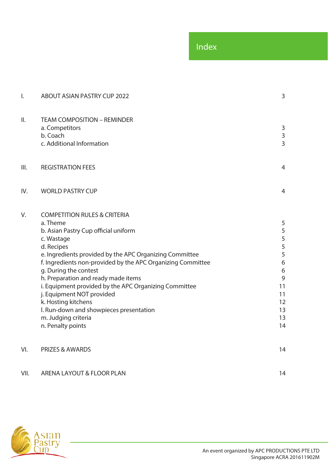| $\mathsf{I}$ . | <b>ABOUT ASIAN PASTRY CUP 2022</b>                                                                                                                                                                                                                                                                                                                                                                                                                                                                                    |                                                                                                                 |
|----------------|-----------------------------------------------------------------------------------------------------------------------------------------------------------------------------------------------------------------------------------------------------------------------------------------------------------------------------------------------------------------------------------------------------------------------------------------------------------------------------------------------------------------------|-----------------------------------------------------------------------------------------------------------------|
| II.            | <b>TEAM COMPOSITION - REMINDER</b><br>a. Competitors<br>b. Coach<br>c. Additional Information                                                                                                                                                                                                                                                                                                                                                                                                                         | 3<br>$\mathsf{3}$<br>$\overline{3}$                                                                             |
| III.           | <b>REGISTRATION FEES</b>                                                                                                                                                                                                                                                                                                                                                                                                                                                                                              | $\overline{4}$                                                                                                  |
| IV.            | <b>WORLD PASTRY CUP</b>                                                                                                                                                                                                                                                                                                                                                                                                                                                                                               | $\overline{4}$                                                                                                  |
| V.             | <b>COMPETITION RULES &amp; CRITERIA</b><br>a. Theme<br>b. Asian Pastry Cup official uniform<br>c. Wastage<br>d. Recipes<br>e. Ingredients provided by the APC Organizing Committee<br>f. Ingredients non-provided by the APC Organizing Committee<br>g. During the contest<br>h. Preparation and ready made items<br>i. Equipment provided by the APC Organizing Committee<br>j. Equipment NOT provided<br>k. Hosting kitchens<br>I. Run-down and showpieces presentation<br>m. Judging criteria<br>n. Penalty points | $\sqrt{5}$<br>5<br>5<br>5<br>5<br>$\boldsymbol{6}$<br>$\boldsymbol{6}$<br>9<br>11<br>11<br>12<br>13<br>13<br>14 |
| VI.            | <b>PRIZES &amp; AWARDS</b>                                                                                                                                                                                                                                                                                                                                                                                                                                                                                            | 14                                                                                                              |
| VII.           | ARENA LAYOUT & FLOOR PLAN                                                                                                                                                                                                                                                                                                                                                                                                                                                                                             | 14                                                                                                              |

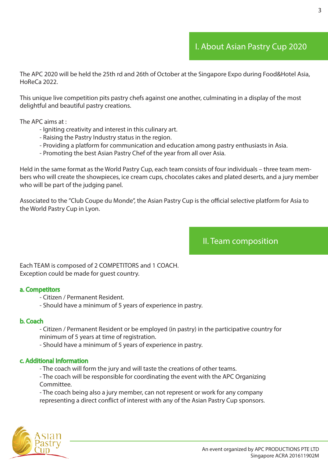### I. About Asian Pastry Cup 2020

The APC 2020 will be held the 25th rd and 26th of October at the Singapore Expo during Food&Hotel Asia, HoReCa 2022.

This unique live competition pits pastry chefs against one another, culminating in a display of the most delightful and beautiful pastry creations.

The APC aims at :

- Igniting creativity and interest in this culinary art.
- Raising the Pastry Industry status in the region.
- Providing a platform for communication and education among pastry enthusiasts in Asia.
- Promoting the best Asian Pastry Chef of the year from all over Asia.

Held in the same format as the World Pastry Cup, each team consists of four individuals – three team members who will create the showpieces, ice cream cups, chocolates cakes and plated deserts, and a jury member who will be part of the judging panel.

Associated to the "Club Coupe du Monde", the Asian Pastry Cup is the official selective platform for Asia to the World Pastry Cup in Lyon.

II. Team composition

Each TEAM is composed of 2 COMPETITORS and 1 COACH. Exception could be made for guest country.

#### a. Competitors

- Citizen / Permanent Resident.
- Should have a minimum of 5 years of experience in pastry.

#### b. Coach

 - Citizen / Permanent Resident or be employed (in pastry) in the participative country for minimum of 5 years at time of registration.

- Should have a minimum of 5 years of experience in pastry.

### c. Additional Information

- The coach will form the jury and will taste the creations of other teams.
- The coach will be responsible for coordinating the event with the APC Organizing Committee.

 - The coach being also a jury member, can not represent or work for any company representing a direct conflict of interest with any of the Asian Pastry Cup sponsors.

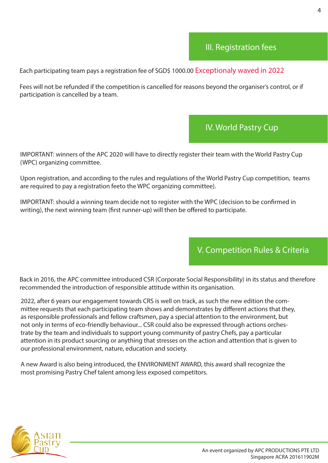### III. Registration fees

Each participating team pays a registration fee of SGD\$ 1000.00 Exceptionaly waved in 2022

Fees will not be refunded if the competition is cancelled for reasons beyond the organiser's control, or if participation is cancelled by a team.

### IV. World Pastry Cup

IMPORTANT: winners of the APC 2020 will have to directly register their team with the World Pastry Cup (WPC) organizing committee.

Upon registration, and according to the rules and regulations of the World Pastry Cup competition, teams are required to pay a registration feeto the WPC organizing committee).

IMPORTANT: should a winning team decide not to register with the WPC (decision to be confirmed in writing), the next winning team (first runner-up) will then be offered to participate.

V. Competition Rules & Criteria

Back in 2016, the APC committee introduced CSR (Corporate Social Responsibility) in its status and therefore recommended the introduction of responsible attitude within its organisation.

2022, after 6 years our engagement towards CRS is well on track, as such the new edition the committee requests that each participating team shows and demonstrates by different actions that they, as responsible professionals and fellow craftsmen, pay a special attention to the environment, but not only in terms of eco-friendly behaviour... CSR could also be expressed through actions orchestrate by the team and individuals to support young community of pastry Chefs, pay a particular attention in its product sourcing or anything that stresses on the action and attention that is given to our professional environment, nature, education and society.

A new Award is also being introduced, the ENVIRONMENT AWARD, this award shall recognize the most promising Pastry Chef talent among less exposed competitors.

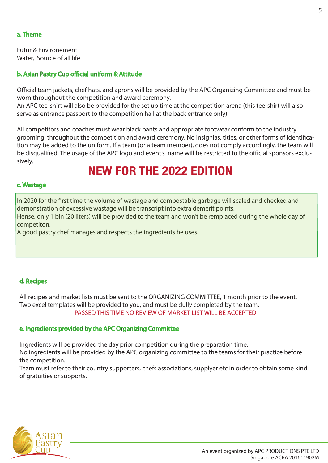### a. Theme

Futur & Environement Water, Source of all life

### b. Asian Pastry Cup official uniform & Attitude

Official team jackets, chef hats, and aprons will be provided by the APC Organizing Committee and must be worn throughout the competition and award ceremony.

An APC tee-shirt will also be provided for the set up time at the competition arena (this tee-shirt will also serve as entrance passport to the competition hall at the back entrance only).

All competitors and coaches must wear black pants and appropriate footwear conform to the industry grooming, throughout the competition and award ceremony. No insignias, titles, or other forms of identication may be added to the uniform. If a team (or a team member), does not comply accordingly, the team will be disqualified. The usage of the APC logo and event's name will be restricted to the official sponsors exclusively.

### **NEW FOR THE 2022 EDITION**

### c. Wastage

In 2020 for the first time the volume of wastage and compostable garbage will scaled and checked and demonstration of excessive wastage will be transcript into extra demerit points.

Hense, only 1 bin (20 liters) will be provided to the team and won't be remplaced during the whole day of competiton.

A good pastry chef manages and respects the ingredients he uses.

### d. Recipes

All recipes and market lists must be sent to the ORGANIZING COMMITTEE, 1 month prior to the event. Two excel templates will be provided to you, and must be dully completed by the team. PASSED THIS TIME NO REVIEW OF MARKET LIST WILL BE ACCEPTED

### e. Ingredients provided by the APC Organizing Committee

Ingredients will be provided the day prior competition during the preparation time. No ingredients will be provided by the APC organizing committee to the teams for their practice before the competition.

Team must refer to their country supporters, chefs associations, supplyer etc in order to obtain some kind of gratuities or supports.

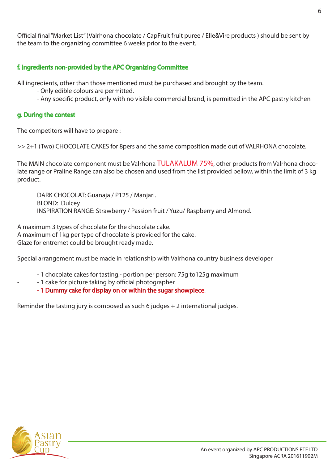### f. Ingredients non-provided by the APC Organizing Committee

All ingredients, other than those mentioned must be purchased and brought by the team.

- Only edible colours are permitted.
- Any specific product, only with no visible commercial brand, is permitted in the APC pastry kitchen

### g. During the contest

The competitors will have to prepare :

>> **2+1 (Two) CHOCOLATE CAKES** for 8pers and the same composition made out of VALRHONA chocolate.

The MAIN chocolate component must be Valrhona TULAKALUM 75%, other products from Valrhona chocolate range or Praline Range can also be chosen and used from the list provided bellow, within the limit of 3 kg product.

 DARK CHOCOLAT: Guanaja / P125 / Manjari. BLOND: Dulcey INSPIRATION RANGE: Strawberry / Passion fruit / Yuzu/ Raspberry and Almond.

A maximum 3 types of chocolate for the chocolate cake. A maximum of 1kg per type of chocolate is provided for the cake. Glaze for entremet could be brought ready made.

Special arrangement must be made in relationship with Valrhona country business developer

- 1 chocolate cakes for tasting.- portion per person: 75g to125g maximum
- 1 cake for picture taking by official photographer
- 1 Dummy cake for display on or within the sugar showpiece.

Reminder the tasting jury is composed as such 6 judges + 2 international judges.

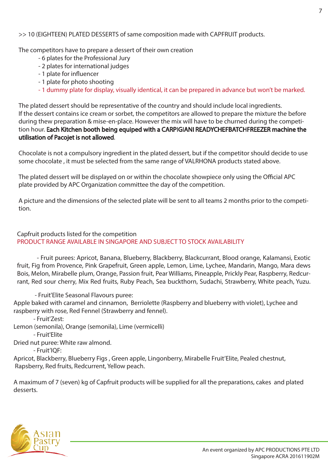### >> **10 (EIGHTEEN) PLATED DESSERTS** of same composition made with CAPFRUIT products.

The competitors have to prepare a dessert of their own creation

- 6 plates for the Professional Jury
- 2 plates for international judges
- 1 plate for influencer
- 1 plate for photo shooting
- 1 dummy plate for display, visually identical, it can be prepared in advance but won't be marked.

The plated dessert should be representative of the country and should include local ingredients. If the dessert contains ice cream or sorbet, the competitors are allowed to prepare the mixture the before during thew preparation & mise-en-place. However the mix will have to be churned during the competition hour. Each Kitchen booth being equiped with a CARPIGIANI READYCHEFBATCHFREEZER machine the utilisation of Pacojet is not allowed.

Chocolate is not a compulsory ingredient in the plated dessert, but if the competitor should decide to use some chocolate , it must be selected from the same range of VALRHONA products stated above.

The plated dessert will be displayed on or within the chocolate showpiece only using the Official APC plate provided by APC Organization committee the day of the competition.

A picture and the dimensions of the selected plate will be sent to all teams 2 months prior to the competition.

Capfruit products listed for the competition PRODUCT RANGE AVAILABLE IN SINGAPORE AND SUBJECT TO STOCK AVAILABILITY

 - Fruit purees: Apricot, Banana, Blueberry, Blackberry, Blackcurrant, Blood orange, Kalamansi, Exotic fruit, Fig from Provence, Pink Grapefruit, Green apple, Lemon, Lime, Lychee, Mandarin, Mango, Mara dews Bois, Melon, Mirabelle plum, Orange, Passion fruit, Pear Williams, Pineapple, Prickly Pear, Raspberry, Redcurrant, Red sour cherry, Mix Red fruits, Ruby Peach, Sea buckthorn, Sudachi, Strawberry, White peach, Yuzu.

- Fruit'Elite Seasonal Flavours puree:

Apple baked with caramel and cinnamon, Berriolette (Raspberry and blueberry with violet), Lychee and raspberry with rose, Red Fennel (Strawberry and fennel).

- Fruit'Zest:

Lemon (semonila), Orange (semonila), Lime (vermicelli)

- Fruit'Elite

Dried nut puree: White raw almond.

- Fruit'IQF:

Apricot, Blackberry, Blueberry Figs , Green apple, Lingonberry, Mirabelle Fruit'Elite, Pealed chestnut, Rapsberry, Red fruits, Redcurrent, Yellow peach.

A maximum of 7 (seven) kg of Capfruit products will be supplied for all the preparations, cakes and plated desserts.

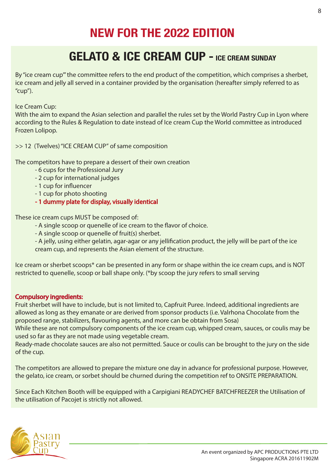# **NEW FOR THE 2022 EDITION**

# **GELATO & ICE CREAM CUP - ICE CREAM SUNDAY**

By "ice cream cup" the committee refers to the end product of the competition, which comprises a sherbet, ice cream and jelly all served in a container provided by the organisation (hereafter simply referred to as "cup").

Ice Cream Cup:

With the aim to expand the Asian selection and parallel the rules set by the World Pastry Cup in Lyon where according to the Rules & Regulation to date instead of Ice cream Cup the World committee as introduced Frozen Lolipop.

### >> **12 (Twelves) "ICE CREAM CUP"** of same composition

The competitors have to prepare a dessert of their own creation

- 6 cups for the Professional Jury
- 2 cup for international judges
- 1 cup for influencer
- 1 cup for photo shooting
- 1 dummy plate for display, visually identical

These ice cream cups MUST be composed of:

- A single scoop or quenelle of ice cream to the flavor of choice.
- A single scoop or quenelle of fruit(s) sherbet.
- A jelly, using either gelatin, agar-agar or any jellification product, the jelly will be part of the ice cream cup, and represents the Asian element of the structure.

Ice cream or sherbet scoops\* can be presented in any form or shape within the ice cream cups, and is NOT restricted to quenelle, scoop or ball shape only. (\*by scoop the jury refers to small serving

### Compulsory ingredients:

Fruit sherbet will have to include, but is not limited to, Capfruit Puree. Indeed, additional ingredients are allowed as long as they emanate or are derived from sponsor products (i.e. Valrhona Chocolate from the proposed range, stabilizers, flavouring agents, and more can be obtain from Sosa)

While these are not compulsory components of the ice cream cup, whipped cream, sauces, or coulis may be used so far as they are not made using vegetable cream.

Ready-made chocolate sauces are also not permitted. Sauce or coulis can be brought to the jury on the side of the cup.

The competitors are allowed to prepare the mixture one day in advance for professional purpose. However, the gelato, ice cream, or sorbet should be churned during the competition ref to ONSITE PREPARATION.

Since Each Kitchen Booth will be equipped with a Carpigiani READYCHEF BATCHFREEZER the Utilisation of the utilisation of Pacojet is strictly not allowed.

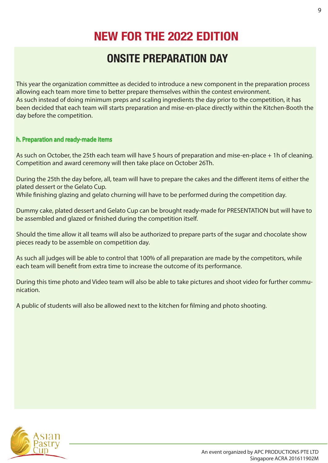# **NEW FOR THE 2022 EDITION**

### **ONSITE PREPARATION DAY**

This year the organization committee as decided to introduce a new component in the preparation process allowing each team more time to better prepare themselves within the contest environment. As such instead of doing minimum preps and scaling ingredients the day prior to the competition, it has been decided that each team will starts preparation and mise-en-place directly within the Kitchen-Booth the day before the competition.

### h. Preparation and ready-made items

As such on October, the 25th each team will have 5 hours of preparation and mise-en-place + 1h of cleaning. Competition and award ceremony will then take place on October 26Th.

During the 25th the day before, all, team will have to prepare the cakes and the different items of either the plated dessert or the Gelato Cup.

While finishing glazing and gelato churning will have to be performed during the competition day.

Dummy cake, plated dessert and Gelato Cup can be brought ready-made for PRESENTATION but will have to be assembled and glazed or finished during the competition itself.

Should the time allow it all teams will also be authorized to prepare parts of the sugar and chocolate show pieces ready to be assemble on competition day.

As such all judges will be able to control that 100% of all preparation are made by the competitors, while each team will benefit from extra time to increase the outcome of its performance.

During this time photo and Video team will also be able to take pictures and shoot video for further communication.

A public of students will also be allowed next to the kitchen for filming and photo shooting.

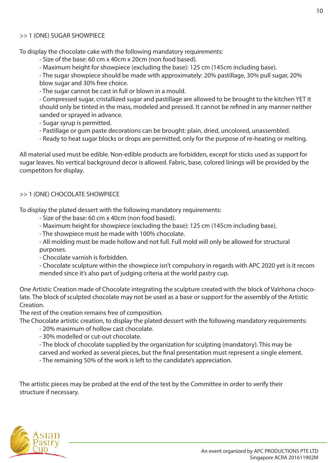### >> **1 (ONE) SUGAR SHOWPIECE**

To display the chocolate cake with the following mandatory requirements:

- Size of the base: 60 cm x 40cm x 20cm (non food based).
- Maximum height for showpiece (excluding the base): 125 cm (145cm including base).

 - The sugar showpiece should be made with approximately: 20% pastillage, 30% pull sugar, 20% blow sugar and 30% free choice.

- The sugar cannot be cast in full or blown in a mould.

 - Compressed sugar, cristallized sugar and pastillage are allowed to be brought to the kitchen YET it should only be tinted in the mass, modeled and pressed. It cannot be refined in any manner neither sanded or sprayed in advance.

- Sugar syrup is permitted.
- Pastillage or gum paste decorations can be brought: plain, dried, uncolored, unassembled.
- Ready to heat sugar blocks or drops are permitted, only for the purpose of re-heating or melting.

All material used must be edible. Non-edible products are forbidden, except for sticks used as support for sugar leaves. No vertical background decor is allowed. Fabric, base, colored linings will be provided by the competitors for display.

### >> **1 (ONE) CHOCOLATE SHOWPIECE**

To display the plated dessert with the following mandatory requirements:

- Size of the base: 60 cm x 40cm (non food based).
- Maximum height for showpiece (excluding the base): 125 cm (145cm including base).
- The showpiece must be made with 100% chocolate.
- All molding must be made hollow and not full. Full mold will only be allowed for structural purposes.
- Chocolate varnish is forbidden.
- Chocolate sculpture within the showpiece isn't compulsory in regards with APC 2020 yet is it recom mended since it's also part of judging criteria at the world pastry cup.

One Artistic Creation made of Chocolate integrating the sculpture created with the block of Valrhona chocolate. The block of sculpted chocolate may not be used as a base or support for the assembly of the Artistic Creation.

The rest of the creation remains free of composition.

The Chocolate artistic creation, to display the plated dessert with the following mandatory requirements:

- 20% maximum of hollow cast chocolate.
- 30% modelled or cut-out chocolate.
- The block of chocolate supplied by the organization for sculpting (mandatory). This may be carved and worked as several pieces, but the final presentation must represent a single element.
- The remaining 50% of the work is left to the candidate's appreciation.

The artistic pieces may be probed at the end of the test by the Committee in order to verify their structure if necessary.

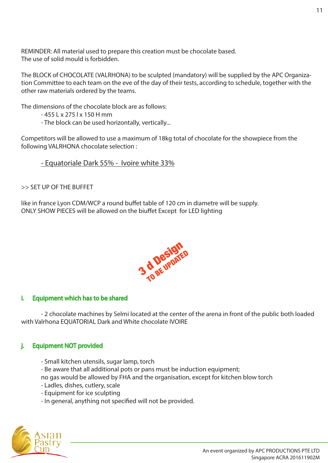REMINDER: All material used to prepare this creation must be chocolate based. The use of solid mould is forbidden.

The BLOCK of CHOCOLATE (VALRHONA) to be sculpted (mandatory) will be supplied by the APC Organization Committee to each team on the eve of the day of their tests, according to schedule, together with the other raw materials ordered by the teams.

The dimensions of the chocolate block are as follows:

- $-455$  L x 275 L x 150 H mm
- The block can be used horizontally, vertically...

Competitors will be allowed to use a maximum of 18kg total of chocolate for the showpiece from the following VALRHONA chocolate selection :

- Equatoriale Dark 55% - Ivoire white 33%

>> **SET UP OF THE BUFFET**

like in france Lyon CDM/WCP a round buffet table of 120 cm in diametre will be supply. ONLY SHOW PIECES will be allowed on the biuffet Except for LED lighting



### i. Equipment which has to be shared

 - 2 chocolate machines by Selmi located at the center of the arena in front of the public both loaded with Valrhona EQUATORIAL Dark and White chocolate IVOIRE

### j. Equipment NOT provided

- Small kitchen utensils, sugar lamp, torch
- Be aware that all additional pots or pans must be induction equipment;

no gas would be allowed by FHA and the organisation, except for kitchen blow torch

- Ladles, dishes, cutlery, scale
- Equipment for ice sculpting
- In general, anything not specified will not be provided.

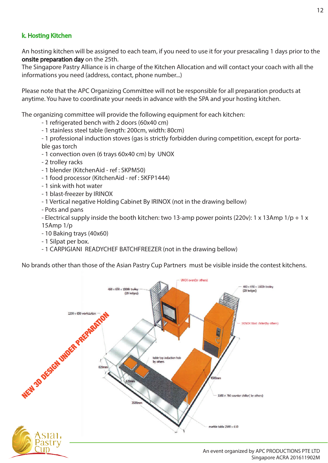### k. Hosting Kitchen

An hosting kitchen will be assigned to each team, if you need to use it for your presacaling 1 days prior to the onsite preparation day on the 25th.

The Singapore Pastry Alliance is in charge of the Kitchen Allocation and will contact your coach with all the informations you need (address, contact, phone number...)

Please note that the APC Organizing Committee will not be responsible for all preparation products at anytime. You have to coordinate your needs in advance with the SPA and your hosting kitchen.

The organizing committee will provide the following equipment for each kitchen:

- 1 refrigerated bench with 2 doors (60x40 cm)
- 1 stainless steel table (length: 200cm, width: 80cm)

 - 1 professional induction stoves (gas is strictly forbidden during competition, except for porta ble gas torch

- 1 convection oven (6 trays 60x40 cm) by UNOX
- 2 trolley racks
- 1 blender (KitchenAid ref : SKPM50)
- 1 food processor (KitchenAid ref : 5KFP1444)
- 1 sink with hot water
- 1 blast-freezer by IRINOX
- 1 Vertical negative Holding Cabinet By IRINOX (not in the drawing bellow)
- Pots and pans

 - Electrical supply inside the booth kitchen: two 13-amp power points (220v): 1 x 13Amp 1/p + 1 x 15Amp 1/p

- 10 Baking trays (40x60)
- 1 Silpat per box.
- 1 CARPIGIANI READYCHEF BATCHFREEZER (not in the drawing bellow)

No brands other than those of the Asian Pastry Cup Partners must be visible inside the contest kitchens.

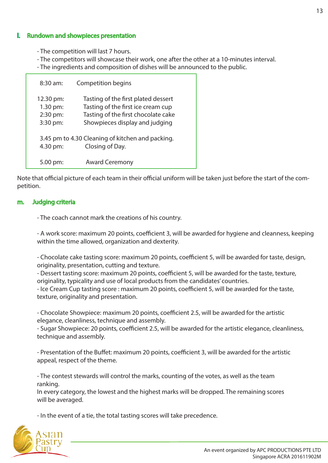### **Rundown and showpieces presentation**

- The competition will last 7 hours.
- The competitors will showcase their work, one after the other at a 10-minutes interval.
- The ingredients and composition of dishes will be announced to the public.

| $8:30$ am:                                    | <b>Competition begins</b>                                                                                                                          |
|-----------------------------------------------|----------------------------------------------------------------------------------------------------------------------------------------------------|
| 12.30 pm:<br>1.30 pm:<br>2:30 pm:<br>3:30 pm: | Tasting of the first plated dessert<br>Tasting of the first ice cream cup<br>Tasting of the first chocolate cake<br>Showpieces display and judging |
| 4.30 pm:                                      | 3.45 pm to 4.30 Cleaning of kitchen and packing.<br>Closing of Day.                                                                                |
| 5.00 pm:                                      | <b>Award Ceremony</b>                                                                                                                              |

Note that official picture of each team in their official uniform will be taken just before the start of the competition.

#### m. Judging criteria

- The coach cannot mark the creations of his country.

- A work score: maximum 20 points, coefficient 3, will be awarded for hygiene and cleanness, keeping within the time allowed, organization and dexterity.

- Chocolate cake tasting score: maximum 20 points, coefficient 5, will be awarded for taste, design, originality, presentation, cutting and texture.

- Dessert tasting score: maximum 20 points, coefficient 5, will be awarded for the taste, texture, originality, typicality and use of local products from the candidates' countries.

- Ice Cream Cup tasting score : maximum 20 points, coefficient 5, will be awarded for the taste, texture, originality and presentation.

- Chocolate Showpiece: maximum 20 points, coefficient 2.5, will be awarded for the artistic elegance, cleanliness, technique and assembly.

- Sugar Showpiece: 20 points, coefficient 2.5, will be awarded for the artistic elegance, cleanliness, technique and assembly.

- Presentation of the Buffet: maximum 20 points, coefficient 3, will be awarded for the artistic appeal, respect of the theme.

 - The contest stewards will control the marks, counting of the votes, as well as the team ranking.

 In every category, the lowest and the highest marks will be dropped. The remaining scores will be averaged.

- In the event of a tie, the total tasting scores will take precedence.

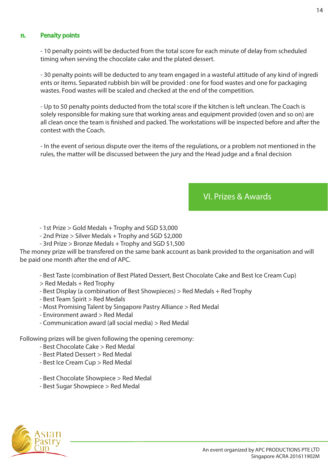### n. Penalty points

 - 10 penalty points will be deducted from the total score for each minute of delay from scheduled timing when serving the chocolate cake and the plated dessert.

 - 30 penalty points will be deducted to any team engaged in a wasteful attitude of any kind of ingredi ents or items. Separated rubbish bin will be provided : one for food wastes and one for packaging wastes. Food wastes will be scaled and checked at the end of the competition.

 - Up to 50 penalty points deducted from the total score if the kitchen is left unclean. The Coach is solely responsible for making sure that working areas and equipment provided (oven and so on) are all clean once the team is finished and packed. The workstations will be inspected before and after the contest with the Coach.

 - In the event of serious dispute over the items of the regulations, or a problem not mentioned in the rules, the matter will be discussed between the jury and the Head judge and a final decision

### VI. Prizes & Awards

- 1st Prize > Gold Medals + Trophy and SGD \$3,000
- 2nd Prize > Silver Medals + Trophy and SGD \$2,000
- 3rd Prize > Bronze Medals + Trophy and SGD \$1,500

The money prize will be transfered on the same bank account as bank provided to the organisation and will be paid one month after the end of APC.

### - Best Taste (combination of Best Plated Dessert, Best Chocolate Cake and Best Ice Cream Cup)

- > Red Medals + Red Trophy
- Best Display (a combination of Best Showpieces) > Red Medals + Red Trophy
- Best Team Spirit > Red Medals
- Most Promising Talent by Singapore Pastry Alliance > Red Medal
- Environment award > Red Medal
- Communication award (all social media) > Red Medal

Following prizes will be given following the opening ceremony:

- Best Chocolate Cake > Red Medal
- Best Plated Dessert > Red Medal
- Best Ice Cream Cup > Red Medal
- Best Chocolate Showpiece > Red Medal
- Best Sugar Showpiece > Red Medal

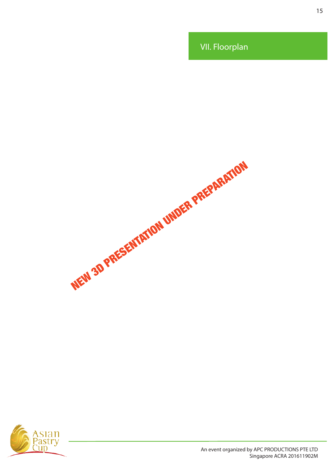VII. Floorplan

NEW 3D PRESENTATION UNDER PREPARATION